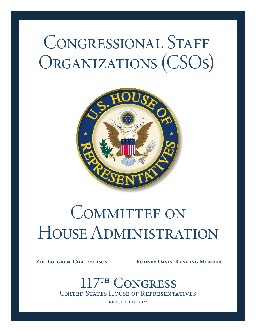# CONGRESSIONAL STAFF ORGANIZATIONS (CSOS)



# COMMITTEE ON House Administration

ZOE LOFGREN, CHAIRPERSON RODNEY DAVIS, RANKING MEMBER

<sup>TH</sup> CONGRESS United States House of Representatives

REVISED JUNE 2022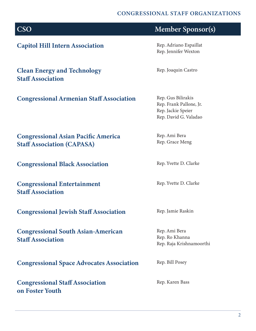#### CONGRESSIONAL STAFF ORGANIZATIONS

| <b>CSO</b>                                                                      | <b>Member Sponsor(s)</b>                                                                     |
|---------------------------------------------------------------------------------|----------------------------------------------------------------------------------------------|
| <b>Capitol Hill Intern Association</b>                                          | Rep. Adriano Espaillat<br>Rep. Jennifer Wexton                                               |
| <b>Clean Energy and Technology</b><br><b>Staff Association</b>                  | Rep. Joaquin Castro                                                                          |
| <b>Congressional Armenian Staff Association</b>                                 | Rep. Gus Bilirakis<br>Rep. Frank Pallone, Jr.<br>Rep. Jackie Speier<br>Rep. David G. Valadao |
| <b>Congressional Asian Pacific America</b><br><b>Staff Association (CAPASA)</b> | Rep. Ami Bera<br>Rep. Grace Meng                                                             |
| <b>Congressional Black Association</b>                                          | Rep. Yvette D. Clarke                                                                        |
| <b>Congressional Entertainment</b><br><b>Staff Association</b>                  | Rep. Yvette D. Clarke                                                                        |
| <b>Congressional Jewish Staff Association</b>                                   | Rep. Jamie Raskin                                                                            |
| <b>Congressional South Asian-American</b><br><b>Staff Association</b>           | Rep. Ami Bera<br>Rep. Ro Khanna<br>Rep. Raja Krishnamoorthi                                  |
| <b>Congressional Space Advocates Association</b>                                | Rep. Bill Posey                                                                              |
| <b>Congressional Staff Association</b><br>on Foster Youth                       | Rep. Karen Bass                                                                              |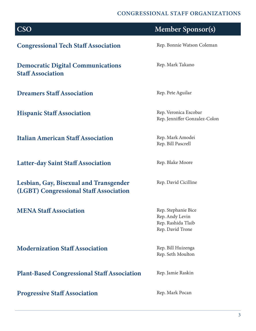## CONGRESSIONAL STAFF ORGANIZATIONS

| <b>CSO</b>                                                                       | <b>Member Sponsor(s)</b>                                                         |
|----------------------------------------------------------------------------------|----------------------------------------------------------------------------------|
| <b>Congressional Tech Staff Association</b>                                      | Rep. Bonnie Watson Coleman                                                       |
| <b>Democratic Digital Communications</b><br><b>Staff Association</b>             | Rep. Mark Takano                                                                 |
| <b>Dreamers Staff Association</b>                                                | Rep. Pete Aguilar                                                                |
| <b>Hispanic Staff Association</b>                                                | Rep. Veronica Escobar<br>Rep. Jenniffer Gonzalez-Colon                           |
| <b>Italian American Staff Association</b>                                        | Rep. Mark Amodei<br>Rep. Bill Pascrell                                           |
| <b>Latter-day Saint Staff Association</b>                                        | Rep. Blake Moore                                                                 |
| Lesbian, Gay, Bisexual and Transgender<br>(LGBT) Congressional Staff Association | Rep. David Cicilline                                                             |
| <b>MENA Staff Association</b>                                                    | Rep. Stephanie Bice<br>Rep. Andy Levin<br>Rep. Rashida Tlaib<br>Rep. David Trone |
| <b>Modernization Staff Association</b>                                           | Rep. Bill Huizenga<br>Rep. Seth Moulton                                          |
| <b>Plant-Based Congressional Staff Association</b>                               | Rep. Jamie Raskin                                                                |

Progressive Staff Association Rep. Mark Pocan